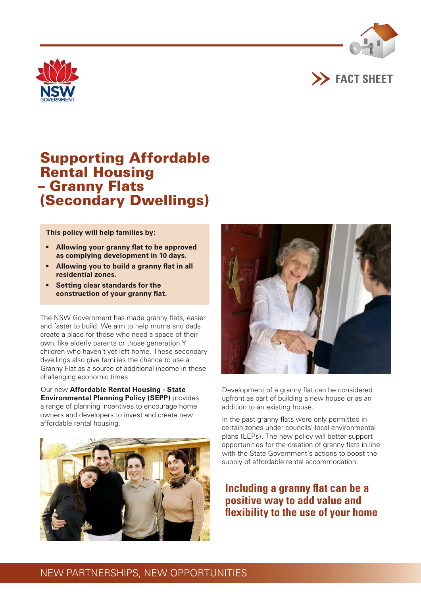





# Supporting Affordable Rental Housing – Granny Flats (Secondary Dwellings)

**This policy will help families by:** 

- **• Allowing your granny flat to be approved as complying development in 10 days.**
- **• Allowing you to build a granny flat in all residential zones.**
- **• Setting clear standards for the construction of your granny flat.**

The NSW Government has made granny flats, easier and faster to build. We aim to help mums and dads create a place for those who need a space of their own, like elderly parents or those generation Y children who haven't yet left home. These secondary dwellings also give families the chance to use a Granny Flat as a source of additional income in these challenging economic times.

Our new **Affordable Rental Housing - State Environmental Planning Policy (SEPP)** provides a range of planning incentives to encourage home owners and developers to invest and create new affordable rental housing.





Development of a granny flat can be considered upfront as part of building a new house or as an addition to an existing house.

In the past granny flats were only permitted in certain zones under councils' local environmental plans (LEPs). The new policy will better support opportunities for the creation of granny flats in line with the State Government's actions to boost the supply of affordable rental accommodation.

# **Including a granny flat can be a positive way to add value and flexibility to the use of your home**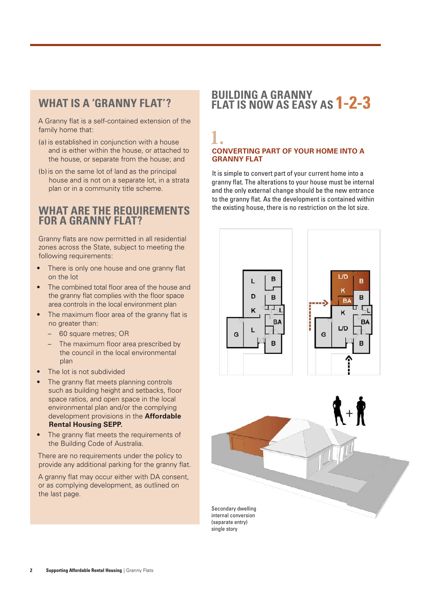# **What is a 'Granny Flat'?**

A Granny flat is a self-contained extension of the family home that:

- (a) is established in conjunction with a house and is either within the house, or attached to the house, or separate from the house; and
- (b) is on the same lot of land as the principal house and is not on a separate lot, in a strata plan or in a community title scheme.

### **What are the requirements for a granny flat?**

Granny flats are now permitted in all residential zones across the State, subject to meeting the following requirements:

- There is only one house and one granny flat on the lot
- The combined total floor area of the house and the granny flat complies with the floor space area controls in the local environment plan
- The maximum floor area of the granny flat is no greater than:
	- 60 square metres; OR
	- The maximum floor area prescribed by the council in the local environmental plan
- The lot is not subdivided
- The granny flat meets planning controls such as building height and setbacks, floor space ratios, and open space in the local environmental plan and/or the complying development provisions in the **Affordable Rental Housing SEPP.**
- The granny flat meets the requirements of the Building Code of Australia.

There are no requirements under the policy to provide any additional parking for the granny flat.

A granny flat may occur either with DA consent, or as complying development, as outlined on the last page.

# **Building a granny flat is now as easy as 1-2-3**

### 1. **CONVERTING PART OF YOUR HOME INTO A GRANNY FLAT**

It is simple to convert part of your current home into a granny flat. The alterations to your house must be internal and the only external change should be the new entrance to the granny flat. As the development is contained within the existing house, there is no restriction on the lot size.







internal conversion (separate entry) single story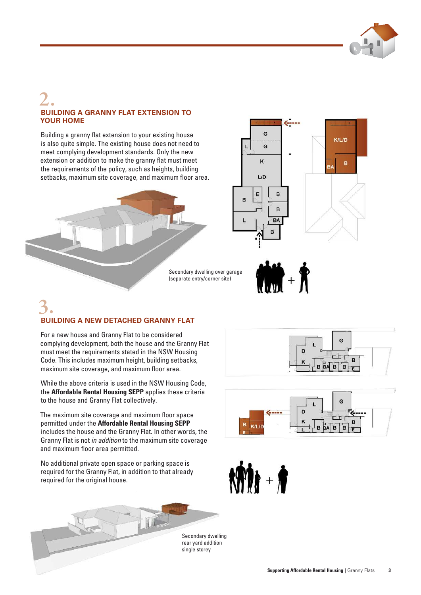

### 2. **BUILDING A GRANNY FLAT EXTENSION TO YOUR HOME**

Building a granny flat extension to your existing house is also quite simple. The existing house does not need to meet complying development standards. Only the new extension or addition to make the granny flat must meet the requirements of the policy, such as heights, building setbacks, maximum site coverage, and maximum floor area.





Secondary dwelling over garage (separate entry/corner site)



# 3. **BUILDING A NEW DETACHED GRANNY FLAT**

For a new house and Granny Flat to be considered complying development, both the house and the Granny Flat must meet the requirements stated in the NSW Housing Code. This includes maximum height, building setbacks, maximum site coverage, and maximum floor area.

While the above criteria is used in the NSW Housing Code, the **Affordable Rental Housing SEPP** applies these criteria to the house and Granny Flat collectively.

The maximum site coverage and maximum floor space permitted under the **Affordable Rental Housing SEPP** includes the house and the Granny Flat. In other words, the Granny Flat is not *in addition* to the maximum site coverage and maximum floor area permitted.

No additional private open space or parking space is required for the Granny Flat, in addition to that already required for the original house.